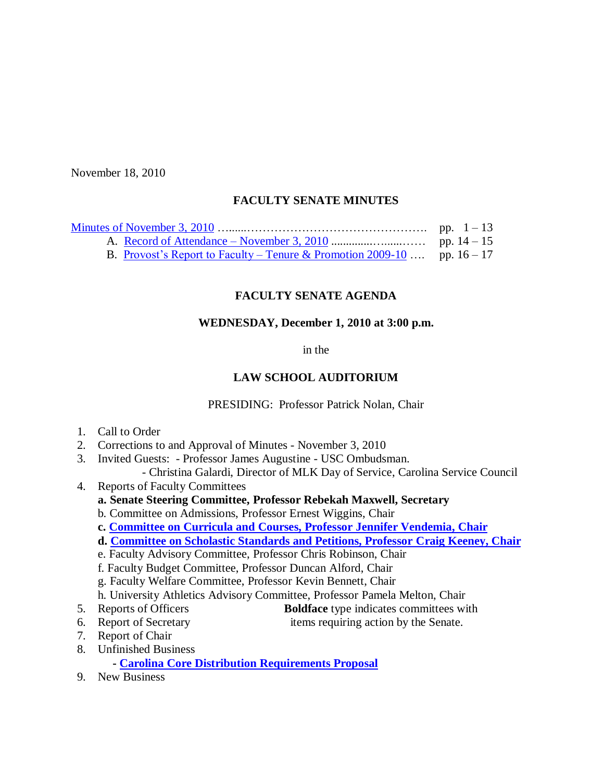November 18, 2010

## **FACULTY SENATE MINUTES**

| <b>B.</b> Provost's Report to Faculty – Tenure & Promotion 2009-10  pp. $16-17$ |  |
|---------------------------------------------------------------------------------|--|

# **FACULTY SENATE AGENDA**

## **WEDNESDAY, December 1, 2010 at 3:00 p.m.**

in the

# **LAW SCHOOL AUDITORIUM**

PRESIDING: Professor Patrick Nolan, Chair

- 1. Call to Order
- 2. Corrections to and Approval of Minutes November 3, 2010
- 3. Invited Guests: Professor James Augustine USC Ombudsman.
	- Christina Galardi, Director of MLK Day of Service, Carolina Service Council
- 4. Reports of Faculty Committees
	- **a. Senate Steering Committee, Professor Rebekah Maxwell, Secretary**
	- b. Committee on Admissions, Professor Ernest Wiggins, Chair
	- **c. [Committee on Curricula and Courses, Professor](http://www.sc.edu/faculty/senate/10/agenda/1201.cc.pdf) Jennifer Vendemia, Chair**
	- **d. [Committee on Scholastic Standards and Petitions, Professor](http://www.sc.edu/faculty/senate/10/agenda/1201.ssp.pdf) Craig Keeney, Chair**
	- e. Faculty Advisory Committee, Professor Chris Robinson, Chair
	- f. Faculty Budget Committee, Professor Duncan Alford, Chair
	- g. Faculty Welfare Committee, Professor Kevin Bennett, Chair
	- h. University Athletics Advisory Committee, Professor Pamela Melton, Chair
- 5. Reports of Officers **Boldface** type indicates committees with
- 6. Report of Secretary items requiring action by the Senate.
- 7. Report of Chair
- 8. Unfinished Business
	- **- [Carolina Core Distribution Requirements Proposal](http://www.sc.edu/faculty/senate/10/agenda/Carolina_Core_Dist_Proposal_Dec_2010.pdf)**
- 9. New Business